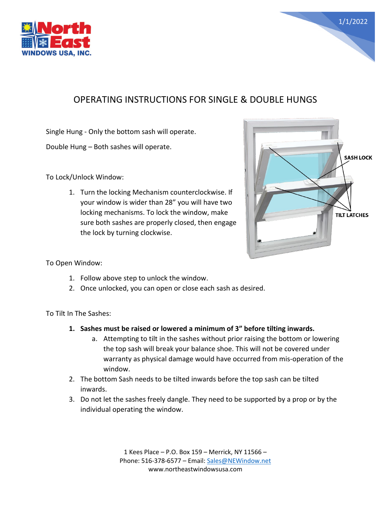

## OPERATING INSTRUCTIONS FOR SINGLE & DOUBLE HUNGS

Single Hung - Only the bottom sash will operate.

Double Hung – Both sashes will operate.

To Lock/Unlock Window:

1. Turn the locking Mechanism counterclockwise. If your window is wider than 28" you will have two locking mechanisms. To lock the window, make sure both sashes are properly closed, then engage the lock by turning clockwise.



1/1/2022

To Open Window:

- 1. Follow above step to unlock the window.
- 2. Once unlocked, you can open or close each sash as desired.

To Tilt In The Sashes:

- **1. Sashes must be raised or lowered a minimum of 3" before tilting inwards.**
	- a. Attempting to tilt in the sashes without prior raising the bottom or lowering the top sash will break your balance shoe. This will not be covered under warranty as physical damage would have occurred from mis-operation of the window.
- 2. The bottom Sash needs to be tilted inwards before the top sash can be tilted inwards.
- 3. Do not let the sashes freely dangle. They need to be supported by a prop or by the individual operating the window.

1 Kees Place – P.O. Box 159 – Merrick, NY 11566 – Phone: 516-378-6577 – Email: [Sales@NEWindow.net](mailto:Sales@NEWindow.net) www.northeastwindowsusa.com